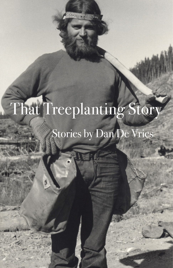# That Treeplanting Story Stories by Dan De Vries

社长

**B & W version** RGB=102/102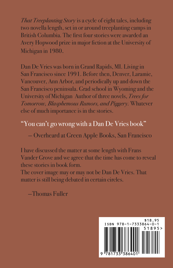*That Treeplanting Story* is a cycle of eight tales, including two novella length, set in or around treeplanting camps in British Columbia. The first four stories were awarded an Avery Hopwood prize in major fiction at the University of Michigan in 1980.

Dan De Vries was born in Grand Rapids, MI. Living in San Francisco since 1991. Before then, Denver, Laramie, Vancouver, Ann Arbor, and periodically up and down the San Francisco peninsula. Grad school in Wyoming and the University of Michigan Author of three novels, *Trees for Tomorrow, Blasphemous Rumors, and Piggery.* Whatever else of much importance is in the stories.

## "You can't go wrong with a Dan De Vries book"

— Overheard at Green Apple Books, San Francisco

I have discussed the matter at some length with Frans Vander Grove and we agree that the time has come to reveal these stories in book form.

The cover image may or may not be Dan De Vries. That matter is still being debated in certain circles.

—Thomas Fuller

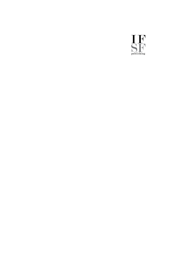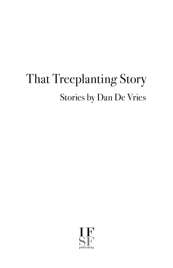# That Treeplanting Story Stories by Dan De Vries

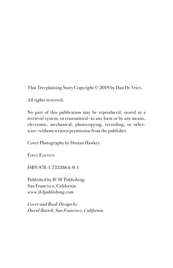That Treeplanting Story Copyright © 2019 by Dan De Vries.

All rights reserved.

No part of this publication may be reproduced, stored in a retrieval system, or transmitted—in any form or by any means, electronic, mechanical, photocopying, recording, or otherwise—without written permission from the publisher.

Cover Photography by Dorian Hawkey

**FIRST EDITION** 

ISBN 978-1-7333864-0-1

Published by IF SF Publishing. San Francisco, California www.ifsfpublishing.com

*Cover and Book Design by David Barich, San Francisco, California*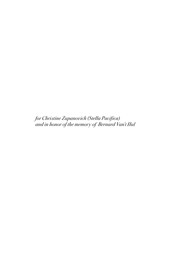*for Christine Zupanovich (Stella Pacifica) and in honor of the memory of Bernard Van't Hul*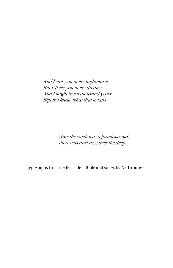*And I saw you in my nightmares But I' ll see you in my dreams And I might live a thousand years Before I know what that means*

> *Now the earth was a formless void, there was darkness over the deep . . .*

(epigraphs from the Jerusalem Bible and songs by Neil Young)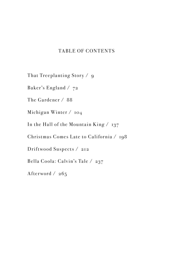#### TABLE OF CONTENTS

That Treeplanting Story / 9

Baker's England / 72

The Gardener / 88

Michigan Winter / 104

In the Hall of the Mountain King / 137

Christmas Comes Late to California / 198

Driftwood Suspects / 212

Bella Coola: Calvin's Tale  $\measuredangle$  237

Afterword / 265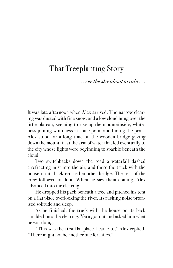### That Treeplanting Story

*. . . see the sky about to rain . . .*

It was late afternoon when Alex arrived. The narrow clearing was dusted with fine snow, and a low cloud hung over the little plateau, seeming to rise up the mountainside, whiteness joining whiteness at some point and hiding the peak. Alex stood for a long time on the wooden bridge gazing down the mountain at the arm of water that led eventually to the city whose lights were beginning to sparkle beneath the cloud.

Two switchbacks down the road a waterfall dashed a refracting mist into the air, and there the truck with the house on its back crossed another bridge. The rest of the crew followed on foot. When he saw them coming, Alex advanced into the clearing.

He dropped his pack beneath a tree and pitched his tent on a flat place overlooking the river. Its rushing noise promised solitude and sleep.

As he finished, the truck with the house on its back rumbled into the clearing. Vern got out and asked him what he was doing.

"This was the first flat place I came to," Alex replied. "There might not be another one for miles."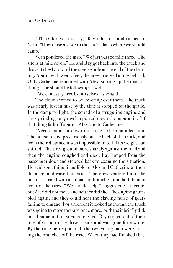"That's for Vern to say," Ray told him, and turned to Vern. "How close are we to the site? That's where we should camp."

Vern pondered the map. "We just passed mile three. The site is at mile seven." He and Ray got back into the truck and drove it slowly toward the steep grade at the end of the clearing. Again, with weary feet, the crew trudged along behind. Only Catherine remained with Alex, staring up the road, as though she should be following as well.

"We can't stay here by ourselves," she said.

The cloud seemed to be lowering over them. The truck was nearly lost in mist by the time it stopped on the grade. In the damp twilight, the sounds of a struggling engine and tires grinding on gravel reported down the mountain. "If that thing falls off again," Alex said to Catherine.

"Vern chained it down this time," she reminded him. The house rested precariously on the back of the truck, and from their distance it was impossible to tell if its weight had shifted. The tires ground more sharply against the road and then the engine coughed and died. Ray jumped from the passenger door and stepped back to examine the situation. He said something, inaudible to Alex and Catherine at their distance, and waved his arms. The crew scattered into the bush, returned with armloads of branches, and laid them in front of the tires. "We should help," suggested Catherine, but Alex did not move and neither did she. The engine grumbled again, and they could hear the clawing noise of gears failing to engage. For a moment it looked as though the truck was going to move forward once more, perhaps it briefly did, but then mountain silence reigned. Ray circled out of their line of vision to the driver's side and was gone for a while. By the time he reappeared, the two young men were kicking the branches off the road. When they had finished that,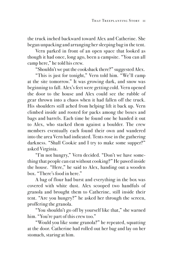the truck inched backward toward Alex and Catherine. She began unpacking and arranging her sleeping bag in the tent.

Vern parked in front of an open space that looked as though it had once, long ago, been a campsite. "You can all camp here," he told his crew.

"Shouldn't we put the cookshack there?" suggested Alex.

"This is just for tonight," Vern told him. "We'll camp at the site tomorrow." It was growing dark, and snow was beginning to fall. Alex's feet were getting cold. Vern opened the door to the house and Alex could see the rubble of gear thrown into a chaos when it had fallen off the truck. His shoulders still ached from helping lift it back up. Vern climbed inside and rooted for packs among the boxes and bags and barrels. Each time he found one he handed it out to Alex, who stacked them against a boulder. The crew members eventually each found their own and wandered into the area Vern had indicated. Tents rose in the gathering darkness. "Shall Cookie and I try to make some supper?" asked Virginia.

"I'm not hungry," Vern decided. "Don't we have something that people can eat without cooking?" He pawed inside the house. "Here," he said to Alex, handing out a wooden box. "There's food in here."

A bag of flour had burst and everything in the box was covered with white dust. Alex scooped two handfuls of granola and brought them to Catherine, still inside their tent. "Are you hungry?" he asked her through the screen, proffering the granola.

"You shouldn't go off by yourself like that," she warned him. "You're part of this crew too."

"Would you like some granola?" he repeated, squatting at the door. Catherine had rolled out her bag and lay on her stomach, staring at him.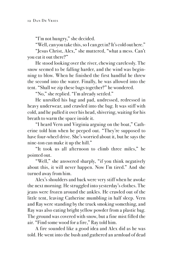"I'm not hungry," she decided.

"Well, can you take this, so I can get in? It's cold out here."

"Jesus Christ, Alex," she muttered, "what a mess. Can't you eat it out there?"

He stood looking over the river, chewing carelessly. The snow seemed to be falling harder, and the wind was beginning to blow. When he finished the first handful he threw the second into the water. Finally, he was allowed into the tent. "Shall we zip these bags together?" he wondered.

"No," she replied. "I'm already settled."

He unrolled his bag and pad, undressed, redressed in heavy underwear, and crawled into the bag. It was stiff with cold, and he pulled it over his head, shivering, waiting for his breath to warm the space inside it.

"I heard Vern and Virginia arguing on the boat," Catherine told him when he peeped out. "They're supposed to have four-wheel drive. She's worried about it, but he says the nine-ton can make it up the hill."

"It took us all afternoon to climb three miles," he pointed out.

"Well," she answered sharply, "if you think negatively about this, it will never happen. Now I'm tired." And she turned away from him.

Alex's shoulders and back were very stiff when he awoke the next morning. He struggled into yesterday's clothes. The jeans were frozen around the ankles. He crawled out of the little tent, leaving Catherine mumbling in half sleep. Vern and Ray were standing by the truck smoking something, and Ray was also eating bright yellow powder from a plastic bag. The ground was covered with snow, but a fine mist filled the air. "Find some wood for a fire," Ray told him.

A fire sounded like a good idea and Alex did as he was told. He went into the bush and gathered an armload of dead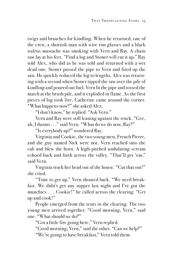twigs and branches for kindling. When he returned, one of the crew, a shortish man with wire rim glasses and a black walrus mustache was smoking with Vern and Ray. A chain saw lay at his feet. "Find a log and Stoner will cut it up," Ray told Alex, who did as he was told and returned with a wet dead one. Stoner passed the pipe to Vern and fired up the saw. He quickly reduced the log to lengths. Alex was returning with a second when Stoner tipped the saw over the pile of kindling and poured out fuel. Vern lit the pipe and tossed the match at the brush pile, and it exploded in flame. As the first pieces of log took fire, Catherine came around the corner. "What happens now?" she asked Alex.

"I don't know," he replied. "Ask Vern."

Vern and Ray were still leaning against the truck. "Gee, ah, I dunno . . ." said Vern. "What do we do now, Ray?"

"Is everybody up?" wondered Ray.

Virginia and Cookie, the two young men, French Pierre, and the guy named Nick were not. Vern reached into the cab and blew the horn. A high-pitched undulating scream echoed back and forth across the valley. "That'll get 'em," said Vern.

Virginia stuck her head out of the house. "Cut that out!" she cried.

"Time to get up," Vern shouted back. "We need breakfast. We didn't get any supper last night and I've got the munchies . . . Cookie!" he called across the clearing. "Get up and cook!"

People emerged from the tents in the clearing. The two young men arrived together. "Good morning, Vern," said one. "What should we do?"

"Got a little fire going here," Vern replied.

"Good morning, Vern," said the other. "Can we help?"

"We're going to have breakfast," Vern told them.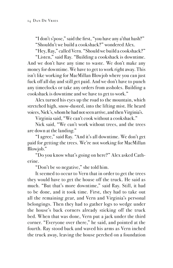"I don'ts'pose," said the first, "you have any a'that hash?" "Shouldn't we build a cookshack?" wondered Alex.

"Hey, Ray," called Vern. "Should we build a cookshack?"

"Listen," said Ray. "Building a cookshack is downtime. And we don't have any time to waste. We don't make any money for downtime. We have to get to work right away. This isn't like working for MacMillan Blowjob where you can just fuck off all day and still get paid. And we don't have to punch any timeclocks or take any orders from assholes. Building a cookshack is downtime and we have to get to work."

Alex turned his eyes up the road to the mountain, which stretched high, snow-dusted, into the lifting mist. He heard voices, Nick's, whom he had not seen arrive, and then Virginia's.

Virginia said, "We can't cook without a cookshack."

Nick said, "We can't work without trees, and the trees are down at the landing."

"I agree," said Ray. "And it's all downtime. We don't get paid for getting the trees. We're not working for MacMillan Blowjob."

"Do you know what's going on here?" Alex asked Catherine.

"Don't be so negative," she told him.

It seemed to occur to Vern that in order to get the trees they would have to get the house off the truck. He said as much. "But that's more downtime," said Ray. Still, it had to be done, and it took time. First, they had to take out all the remaining gear, and Vern and Virginia's personal belongings. Then they had to gather logs to wedge under the house's back corners already sticking off the truck bed. When that was done, Vern put a jack under the third corner. "Everyone over there," he said, and pointed at the fourth. Ray stood back and waved his arms as Vern inched the truck away, leaving the house perched on a foundation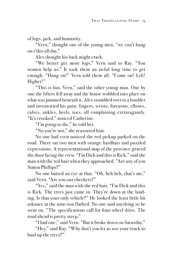of logs, jack, and humanity.

"Vern," thought one of the young men, "we can't hang on t'this all day."

Alex thought his back might crack.

"We better get more logs," Vern said to Ray. "You women help us." It took them an awful long time to get enough. "Hang on!" Vern told them all. "Come on! Lift! Higher!"

"This is fun, Vern," said the other young man. One by one the lifters fell away and the house wobbled into place on what was jammed beneath it. Alex stumbled over to a boulder and inventoried his pain: fingers, wrists, forearms, elbows, calves, ankles, heels, toes, all complaining extravagantly. "It's crooked," noticed Catherine.

"I'm going to die," he told her.

"No you're not," she reassured him.

No one had even noticed the red pickup parked on the road. There sat two men with orange hardhats and puzzled expressions. A representational map of the province graced the door facing the crew. "I'm Dick and this is Rick," said the man with the red hair when they approached. "Are any of you Simon Phillips?"

No one batted an eye at that. "Oh, heh heh, that's me," said Vern. "Are you our checkers?"

"Yes," said the man with the red hair. "I'm Dick and this is Rick. The trees just came in. They're down at the landing. Is that your only vehicle?" He looked the least little bit askance at the nine-ton flatbed. No one said anything so he went on. "The specifications call for four-wheel drive. The road ahead is pretty steep."

"I had one," said Vern. "But it broke down on Saturday."

"Hey," said Ray. "Why don't you let us use your truck to haul up the trees?"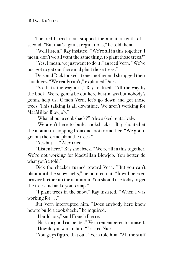The red-haired man stopped for about a tenth of a second. "But that's against regulations," he told them.

"Well listen," Ray insisted. "We're all in this together. I mean, don't we all want the same thing, to plant those trees?"

"Yes, I mean, we just want to do it," agreed Vern. "We've just got to get out there and plant those trees."

Dick and Rick looked at one another and shrugged their shoulders. "We really can't," explained Dick.

"So that's the way it is," Ray realized. "All the way by the book. We're gonna be out here bustin' ass but nobody's gonna help us. C'mon Vern, let's go down and get those trees. This talking is all downtime. We aren't working for MacMillan Blowjob."

"What about a cookshack?" Alex asked tentatively.

"We aren't here to build cookshacks," Ray shouted at the mountain, hopping from one foot to another. "We got to get out there and plant the trees."

"Yes but . . ." Alex tried.

"Listen here," Ray shot back, "We're all in this together. We're not working for MacMillan Blowjob. You better do what you're told."

Dick the checker turned toward Vern. "But you can't plant until the snow melts," he pointed out. "It will be even heavier further up the mountain. You should use today to get the trees and make your camp."

"I plant trees in the snow," Ray insisted. "When I was working for  $\ldots$ "

But Vern interrupted him. "Does anybody here know how to build a cookshack?" he inquired.

"I build lots," said French Pierre.

"Nick's a good carpenter," Vern remembered to himself. "How do you want it built?" asked Nick.

"You guys figure that out," Vern told him. "All the stuff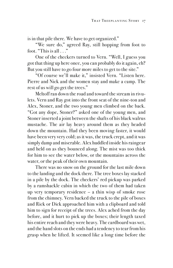is in that pile there. We have to get organized."

"We sure do," agreed Ray, still hopping from foot to foot. "This is all . . ."

One of the checkers turned to Vern. "Well, I guess you got that thing up here once, you can probably do it again, eh? But you still have to go four more miles to get to the site."

"Of course we'll make it," insisted Vern. "Listen here. Pierre and Nick and the women stay and make a camp. The rest of us will go get the trees."

Meltoff ran down the road and toward the stream in rivulets. Vern and Ray got into the front seat of the nine-ton and Alex, Stoner, and the two young men climbed on the back. "Got any dope, Stoner?" asked one of the young men, and Stoner inserted a joint between the shafts of his black walrus mustache. The air lay heavy around them as they headed down the mountain. Had they been moving faster, it would have been very very cold; as it was, the truck crept, and it was simply damp and miserable. Alex huddled inside his raingear and held on as they bounced along. The mist was too thick for him to see the water below, or the mountains across the water, or the peak of their own mountain.

There was no snow on the ground for the last mile down to the landing and the dock there. The tree boxes lay stacked in a pile by the dock. The checkers' red pickup was parked by a ramshackle cabin in which the two of them had taken up very temporary residence – a thin wisp of smoke rose from the chimney. Vern backed the truck to the pile of boxes and Rick or Dick approached him with a clipboard and told him to sign for receipt of the trees. Alex ached from the day before, and it hurt to pick up the boxes; their length taxed his entire reach and they were heavy. The cardboard was wet, and the hand slots on the ends had a tendency to tear from his grasp when he lifted. It seemed like a long time before the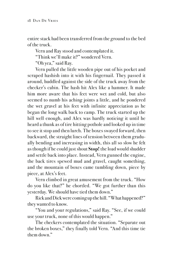entire stack had been transferred from the ground to the bed of the truck.

Vern and Ray stood and contemplated it.

"Think we'll make it?" wondered Vern.

"Oh yea," said Ray.

Vern pulled the little wooden pipe out of his pocket and scraped hashish into it with his fingernail. They passed it around, huddled against the side of the truck away from the checker's cabin. The hash hit Alex like a hammer. It made him more aware that his feet were wet and cold, but also seemed to numb his aching joints a little, and he pondered the wet gravel at his feet with infinite appreciation as he began the long walk back to camp. The truck started up the hill well enough, and Alex was hardly noticing it until he heard a thunk as of tire hitting pothole and looked up in time to see it stop and then lurch. The boxes swayed forward, then backward, the straight lines of tension between them gradually bending and increasing in width, this all so slow he felt as though if he could just shout **Stop!** the load would shudder and settle back into place. Instead, Vern gunned the engine, the back tires spewed mud and gravel, caught something, and the mountain of boxes came tumbling down, piece by piece, at Alex's feet.

Vern climbed in great amusement from the truck. "How do you like that?" he chortled. "We got further than this yesterday. We should have tied them down."

Rick and Dick were coming up the hill. "What happened?" they wanted to know.

"You and your regulations," said Ray. "See, if we could use your truck, none of this would happen."

The checkers contemplated the situation. "Separate out the broken boxes," they finally told Vern. "And this time tie them down."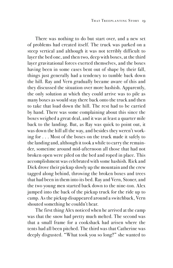There was nothing to do but start over, and a new set of problems had created itself. The truck was parked on a steep vertical and although it was not terribly difficult to layer the bed one, and then two, deep with boxes, at the third layer gravitational forces exerted themselves, and the boxes having been in some cases bent out of shape by their fall, things just generally had a tendency to tumble back down the hill. Ray and Vern gradually became aware of this and they discussed the situation over more hashish. Apparently, the only solution at which they could arrive was to pile as many boxes as would stay there back onto the truck and then to take that load down the hill. The rest had to be carried by hand. There was some complaining about this since the boxes weighed a great deal, and it was at least a quarter mile back to the landing. But, as Ray was quick to point out, it was down the hill all the way, and besides they weren't working for . . . Most of the boxes on the truck made it safely to the landing and, although it took a while to carry the remainder, sometime around mid-afternoon all those that had not broken open were piled on the bed and roped in place. This accomplishment was celebrated with some hashish. Rick and Dick drove their pickup slowly up the mountain and the crew tagged along behind, throwing the broken boxes and trees that had been in them into its bed. Ray and Vern, Stoner, and the two young men started back down to the nine-ton. Alex jumped into the back of the pickup truck for the ride up to camp. As the pickup disappeared around a switchback, Vern shouted something he couldn't hear.

The first thing Alex noticed when he arrived at the camp was that the snow had pretty much melted. The second was that a small frame for a cookshack had arisen where the tents had all been pitched. The third was that Catherine was deeply disgusted. "What took you so long?" she wanted to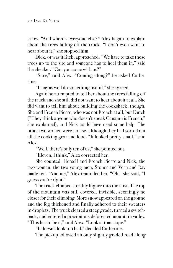know. "And where's everyone else?" Alex began to explain about the trees falling off the truck. "I don't even want to hear about it," she stopped him.

Dick, or was it Rick, approached. "We have to take these trees up to the site and someone has to heel them in," said the checker. "Can you come with us?"

"Sure," said Alex. "Coming along?" he asked Catherine.

"I may as well do something useful," she agreed.

Again he attempted to tell her about the trees falling off the truck and she still did not want to hear about it at all. She did want to tell him about building the cookshack, though. She and French Pierre, who was not French at all, but Dutch ("They think anyone who doesn't speak Canajun is French," she explained), and Nick could have used some help. The other two women were no use, although they had sorted out all the cooking gear and food. "It looked pretty small," said Alex.

"Well, there's only ten of us," she pointed out.

"Eleven, I think," Alex corrected her.

She counted. Herself and French Pierre and Nick, the two women, the two young men, Stoner and Vern and Ray made ten. "And me," Alex reminded her. "Oh," she said, "I guess you're right."

The truck climbed steadily higher into the mist. The top of the mountain was still covered, invisible, seemingly no closer for their climbing. More snow appeared on the ground and the fog thickened and finally adhered to their sweaters in droplets. The truck cleared a steep grade, turned a switchback, and entered a precipitous deforested mountain valley. "This has to be it," said Alex. "Look at that slope."

"It doesn't look too bad," decided Catherine.

The pickup followed an only slightly graded road along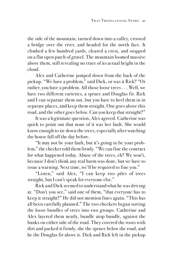the side of the mountain, turned down into a valley, crossed a bridge over the river, and headed for the north face. It climbed a few hundred yards, cleared a crest, and stopped on a flat open patch of gravel. The mountain loomed massive above them, still revealing no trace of its actual height in the cloud.

Alex and Catherine jumped down from the back of the pickup. "We have a problem," said Dick, or was it Rick? "Or rather, you have a problem. All those loose trees . . . Well, we have two different varieties, a spruce and Douglas fir. Rick and I can separate them out, but you have to heel them in in separate places, and keep them straight. One goes above this road, and the other goes below. Can you keep that straight?"

It was a legitimate question, Alex agreed. Catherine was quick to point out that none of it was her fault. She would know enough to tie down the trees, especially after watching the house fall off the day before.

"It may not be your fault, but it's going to be your problem," the checker told them firmly. "We can fine the contract for what happened today. Abuse of the trees, eh? We won't, because I don't think any real harm was done, but we have to issue a warning. Next time, we'll be required to fine you."

"Listen," said Alex, "I can keep two piles of trees straight, but I can't speak for everyone else."

Rick and Dick seemed to understand what he was driving at. "Don't you see," said one of them, "that everyone has to keep it straight?" He did not mention fines again. "This has all been carefully planned." The two checkers began sorting the loose bundles of trees into two groups. Catherine and Alex layered them neatly, bundle atop bundle, against the banks on either side of the road. They covered the roots with dirt and packed it firmly, she the spruce below the road, and he the Douglas fir above it. Dick and Rick left in the pickup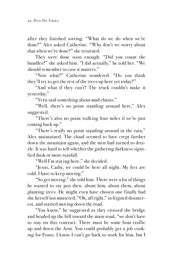after they finished sorting. "What do we do when we're done?" Alex asked Catherine. "Why don't we worry about that when we're done?" she returned.

They were done soon enough. "Did you count the bundles?" she asked him. "I did actually," he told her. "We should remember in case it matters."

"Now what?" Catherine wondered. "Do you think they'll try to get the rest of the trees up here yet today?"

"And what if they can't? The truck couldn't make it yesterday."

"Vern said something about mud chains."

"Well, there's no point standing around here," Alex suggested.

"There's also no point walking four miles if we're just coming back up."

"There's really no point standing around in the rain," Alex maintained. The cloud seemed to have crept further down the mountain again, and the mist had turned to drizzle. It was hard to tell whether the gathering darkness signified dusk or more rainfall.

"Well I'm staying here," she decided.

"Jesus, Cathy, we could be here all night. My feet are cold. I have to keep moving."

"So get moving," she told him. There were a lot of things he wanted to say just then, about him, about them, about planting trees. He might even have chosen one finally had she herself not muttered, "Oh, all right," in feigned disinterest, and started moving down the road.

"You know," he suggested as they crossed the bridge and headed up the hill toward the main road, "we don't have to stay on this contract. There must be some boat traffic up and down the Arm. You could probably get a job cooking for Frans. I know I can't go back to work for him, but I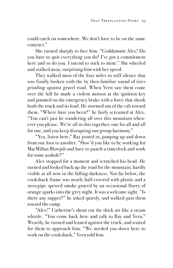could catch on somewhere. We don't have to be on the same contract."

She turned sharply to face him. "Goddammit Alex! Do you have to quit everything you do? I've got a commitment here and so do you. I intend to stick to mine." She wheeled and stalked away, surprising him with her speed.

They walked most of the four miles in stiff silence that was finally broken with the by then familiar sound of tires grinding against gravel road. When Vern saw them come over the hill he made a violent motion at the ignition key and jammed on the emergency brake with a force that shook both the truck and its load. He stormed out of the cab toward them. "Where have you been?" he fairly screamed at Alex. "You can't just be wandering all over this mountain whenever you please. We're all in this together, one for all and all for one, and you keep disrupting our group harmony."

"Yea, listen here," Ray joined in, jumping up and down from one foot to another. "How'd you like to be working for MacMillan Blowjob and have to punch a timeclock and work for some asshole?"

Alex stopped for a moment and scratched his head. He turned and looked back up the road for the mountain, hardly visible at all now in the falling darkness. Not far below, the cookshack frame was nearly half-covered with plastic and a stovepipe spewed smoke graced by an occasional flurry of orange sparks into the grey night. It was a welcome sight. "Is there any supper?" he asked quietly, and walked past them toward the camp.

"Alex!" Catherine's shout cut the thick air like a steam whistle. "You come back here and talk to Ray and Vern." Wearily, he turned and leaned against the truck, and waited for them to approach him. "We needed you down here to work on the cookshack," Vern told him.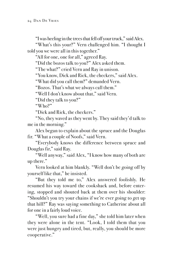"I was heeling in the trees that fell off your truck," said Alex.

"What's this your?" Vern challenged him. "I thought I told you we were all in this together."

"All for one, one for all," agreed Ray.

"Did the bozos talk to you?" Alex asked them.

"The what?" cried Vern and Ray in unison.

"You know, Dick and Rick, the checkers," said Alex.

"What did you call them?" demanded Vern.

"Bozos. That's what we always call them."

"Well I don't know about that," said Vern.

"Did they talk to you?"

"Who?"

"Dick and Rick, the checkers."

"No, they waved as they went by. They said they'd talk to me in the morning."

Alex began to explain about the spruce and the Douglas fir. "What a couple of Noofs," said Vern.

"Everybody knows the difference between spruce and Douglas fir," said Ray.

"Well anyway," said Alex, "I know how many of both are up there."

Vern looked at him blankly. "Well don't be going off by yourself like that," he insisted.

"But they told me to," Alex answered foolishly. He resumed his way toward the cookshack and, before entering, stopped and shouted back at them over his shoulder: "Shouldn't you try your chains if we're ever going to get up that hill?" Ray was saying something to Catherine about all for one in a fairly loud voice.

"Well, you sure had a fine day," she told him later when they were alone in the tent. "Look, I told them that you were just hungry and tired, but, really, you should be more cooperative."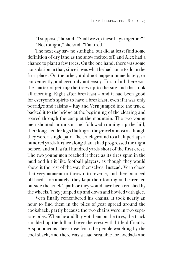"I suppose," he said. "Shall we zip these bags together?" "Not tonight," she said. "I'm tired."

The next day saw no sunlight, but did at least find some definition of dry land as the snow melted off, and Alex had a chance to plant a few trees. On the one hand, there was some consolation in that, since it was what he had come to do in the first place. On the other, it did not happen immediately, or conveniently, and certainly not easily. First of all there was the matter of getting the trees up to the site and that took all morning. Right after breakfast – and it had been good for everyone's spirits to have a breakfast, even if it was only porridge and raisins – Ray and Vern jumped into the truck, backed it to the bridge at the beginning of the clearing and roared through the camp at the mountain. The two young men shouted in unison and followed running up the hill, their long slender legs flailing at the gravel almost as though they were a single pair. The truck ground to a halt perhaps a hundred yards further along than it had progressed the night before, and still a full hundred yards short of the first crest. The two young men reached it there as its tires spun in the mud and hit it like football players, as though they would shove it the rest of the way themselves. Instead, Vern chose that very moment to throw into reverse, and they bounced off hard. Fortunately, they kept their footing and careened outside the truck's path or they would have been crushed by the wheels. They jumped up and down and howled with glee.

Vern finally remembered his chains. It took nearly an hour to find them in the piles of gear spread around the cookshack, partly because the two chains were in two separate piles. When he and Ray got them on the tires, the truck rumbled up the hill and over the crest with little difficulty. A spontaneous cheer rose from the people watching by the cookshack, and there was a mad scramble for hoedads and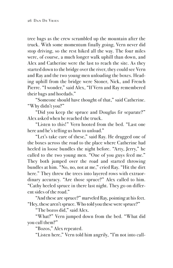tree bags as the crew scrambled up the mountain after the truck. With some momentum finally going, Vern never did stop driving, so the rest hiked all the way. The four miles were, of course, a much longer walk uphill than down, and Alex and Catherine were the last to reach the site. As they started down to the bridge over the river, they could see Vern and Ray and the two young men unloading the boxes. Heading uphill from the bridge were Stoner, Nick, and French Pierre. "I wonder," said Alex, "If Vern and Ray remembered their bags and hoedads."

"Someone should have thought of that," said Catherine. "Why didn't you?"

"Did you keep the spruce and Douglas fir separate?" Alex asked when he reached the truck.

"Listen to this!" Vern hooted from the bed. "Last one here and he's telling us how to unload."

"Let's take care of these," said Ray. He dragged one of the boxes across the road to the place where Catherine had heeled in loose bundles the night before. "Arty, Jerry," he called to the two young men. "One of you guys feed me." They both jumped over the road and started throwing bundles at him. "No, no, not at me," cried Ray. "Hit the dirt here." They threw the trees into layered rows with extraordinary accuracy. "Are those spruce?" Alex called to him. "Cathy heeled spruce in there last night. They go on different sides of the road."

"And these are spruce?" marveled Ray, pointing at his feet. "Hey, these aren't spruce. Who told you these were spruce?"

"The bozos did," said Alex.

"What?" Vern jumped down from the bed. "What did you call them?"

"Bozos," Alex repeated.

"Listen here," Vern told him angrily, "I'm not into call-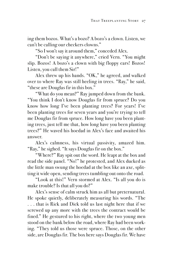ing them bozos. What's a bozo? A bozo's a clown. Listen, we can't be calling our checkers clowns."

"So I won't say it around them," conceded Alex.

"Don't be saying it anywhere," cried Vern. "You might slip. Bozos! A bozo's a clown with big floppy ears! Bozos! Listen, you call them Sir!"

Alex threw up his hands. "OK," he agreed, and walked over to where Ray was still heeling in trees. "Ray," he said, "these are Douglas fir in this box."

"What do you mean?" Ray jumped down from the bank. "You think I don't know Douglas fir from spruce? Do you know how long I've been planting trees? For years! I've been planting trees for seven years and you're trying to tell me Douglas fir from spruce. How long have you been planting trees, just tell me that, how long have you been planting trees?" He waved his hoedad in Alex's face and awaited his answer.

Alex's calmness, his virtual passivity, amazed him. "Ray," he sighed. "It says Douglas fir on the box."

"Where?" Ray spit out the word. He leapt at the box and read the side panel. "No!" he protested, and Alex ducked as the little man swung the hoedad at the box like an axe, splitting it wide open, sending trees tumbling out onto the road.

"Look at this!" Vern stormed at Alex. "Is all you do is make trouble? Is that all you do?"

Alex's sense of calm struck him as all but preternatural. He spoke quietly, deliberately measuring his words. "The . . . that is Rick and Dick told us last night here that if we screwed up any more with the trees the contract would be fined." He gestured to his right, where the two young men stood on the bank below the road, where Ray had been working. "They told us those were spruce. Those, on the other side, are Douglas fir. The box here says Douglas fir. We have